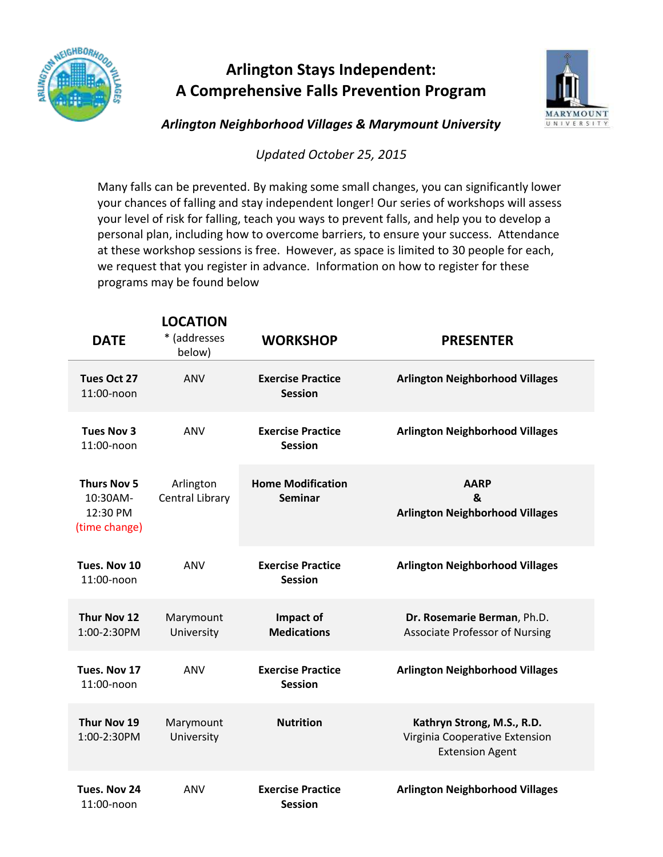

## **Arlington Stays Independent: A Comprehensive Falls Prevention Program**



*Arlington Neighborhood Villages & Marymount University* 

*Updated October 25, 2015*

Many falls can be prevented. By making some small changes, you can significantly lower your chances of falling and stay independent longer! Our series of workshops will assess your level of risk for falling, teach you ways to prevent falls, and help you to develop a personal plan, including how to overcome barriers, to ensure your success. Attendance at these workshop sessions is free. However, as space is limited to 30 people for each, we request that you register in advance. Information on how to register for these programs may be found below

| <b>DATE</b>                                                 | <b>LOCATION</b><br>* (addresses<br>below) | <b>WORKSHOP</b>                            | <b>PRESENTER</b>                                                                       |
|-------------------------------------------------------------|-------------------------------------------|--------------------------------------------|----------------------------------------------------------------------------------------|
| Tues Oct 27<br>11:00-noon                                   | ANV                                       | <b>Exercise Practice</b><br><b>Session</b> | <b>Arlington Neighborhood Villages</b>                                                 |
| <b>Tues Nov 3</b><br>11:00-noon                             | ANV                                       | <b>Exercise Practice</b><br><b>Session</b> | <b>Arlington Neighborhood Villages</b>                                                 |
| <b>Thurs Nov 5</b><br>10:30AM-<br>12:30 PM<br>(time change) | Arlington<br>Central Library              | <b>Home Modification</b><br><b>Seminar</b> | <b>AARP</b><br>&<br><b>Arlington Neighborhood Villages</b>                             |
| Tues. Nov 10<br>11:00-noon                                  | ANV                                       | <b>Exercise Practice</b><br><b>Session</b> | <b>Arlington Neighborhood Villages</b>                                                 |
| Thur Nov 12<br>1:00-2:30PM                                  | Marymount<br>University                   | Impact of<br><b>Medications</b>            | Dr. Rosemarie Berman, Ph.D.<br><b>Associate Professor of Nursing</b>                   |
| Tues. Nov 17<br>11:00-noon                                  | ANV                                       | <b>Exercise Practice</b><br><b>Session</b> | <b>Arlington Neighborhood Villages</b>                                                 |
| Thur Nov 19<br>1:00-2:30PM                                  | Marymount<br>University                   | <b>Nutrition</b>                           | Kathryn Strong, M.S., R.D.<br>Virginia Cooperative Extension<br><b>Extension Agent</b> |
| Tues. Nov 24<br>11:00-noon                                  | ANV                                       | <b>Exercise Practice</b><br><b>Session</b> | <b>Arlington Neighborhood Villages</b>                                                 |